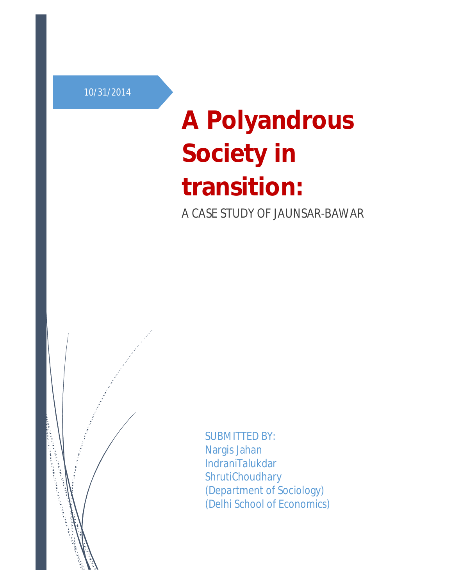10/31/2014

# **A Polyandrous Society in transition:** A CASE STUDY OF JAUNSAR-BAWAR



SUBMITTED BY: Nargis Jahan IndraniTalukdar ShrutiChoudhary (Department of Sociology) (Delhi School of Economics)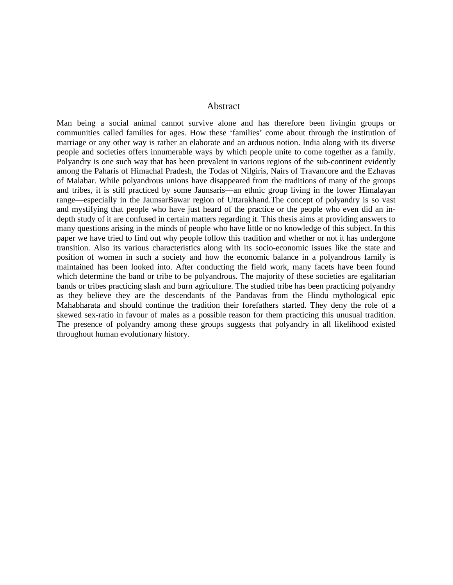#### Abstract

Man being a social animal cannot survive alone and has therefore been livingin groups or communities called families for ages. How these 'families' come about through the institution of marriage or any other way is rather an elaborate and an arduous notion. India along with its diverse people and societies offers innumerable ways by which people unite to come together as a family. Polyandry is one such way that has been prevalent in various regions of the sub-continent evidently among the Paharis of Himachal Pradesh, the Todas of Nilgiris, Nairs of Travancore and the Ezhavas of Malabar. While polyandrous unions have disappeared from the traditions of many of the groups and tribes, it is still practiced by some Jaunsaris—an ethnic group living in the lower Himalayan range—especially in the JaunsarBawar region of Uttarakhand.The concept of polyandry is so vast and mystifying that people who have just heard of the practice or the people who even did an indepth study of it are confused in certain matters regarding it. This thesis aims at providing answers to many questions arising in the minds of people who have little or no knowledge of this subject. In this paper we have tried to find out why people follow this tradition and whether or not it has undergone transition. Also its various characteristics along with its socio-economic issues like the state and position of women in such a society and how the economic balance in a polyandrous family is maintained has been looked into. After conducting the field work, many facets have been found which determine the band or tribe to be polyandrous. The majority of these societies are egalitarian bands or tribes practicing slash and burn agriculture. The studied tribe has been practicing polyandry as they believe they are the descendants of the Pandavas from the Hindu mythological epic Mahabharata and should continue the tradition their forefathers started. They deny the role of a skewed sex-ratio in favour of males as a possible reason for them practicing this unusual tradition. The presence of polyandry among these groups suggests that polyandry in all likelihood existed throughout human evolutionary history.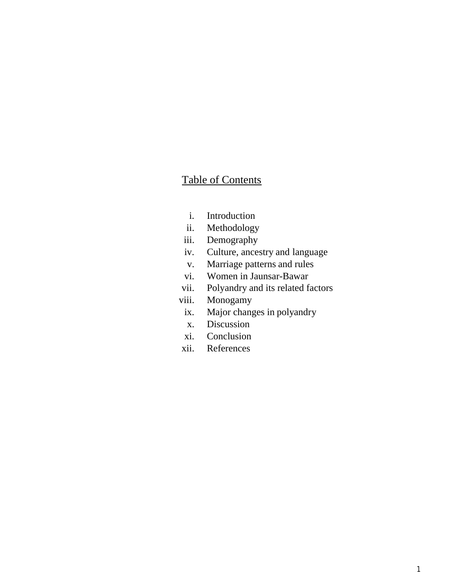# Table of Contents

- i. Introduction
- ii. Methodology
- iii. Demography
- iv. Culture, ancestry and language
- v. Marriage patterns and rules
- vi. Women in Jaunsar-Bawar
- vii. Polyandry and its related factors
- viii. Monogamy
- ix. Major changes in polyandry
- x. Discussion
- xi. Conclusion
- xii. References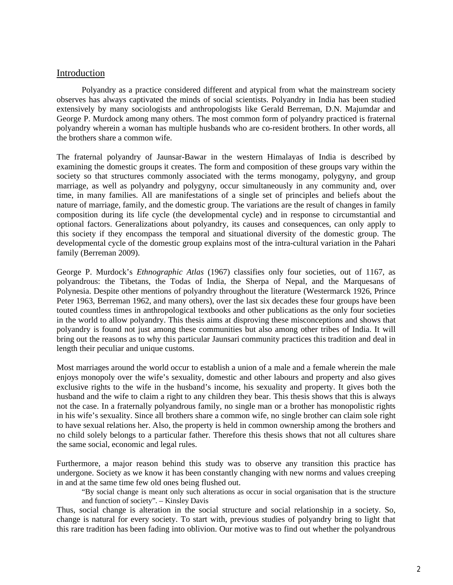#### Introduction

Polyandry as a practice considered different and atypical from what the mainstream society observes has always captivated the minds of social scientists. Polyandry in India has been studied extensively by many sociologists and anthropologists like Gerald Berreman, D.N. Majumdar and George P. Murdock among many others. The most common form of polyandry practiced is fraternal polyandry wherein a woman has multiple husbands who are co-resident brothers. In other words, all the brothers share a common wife.

The fraternal polyandry of Jaunsar-Bawar in the western Himalayas of India is described by examining the domestic groups it creates. The form and composition of these groups vary within the society so that structures commonly associated with the terms monogamy, polygyny, and group marriage, as well as polyandry and polygyny, occur simultaneously in any community and, over time, in many families. All are manifestations of a single set of principles and beliefs about the nature of marriage, family, and the domestic group. The variations are the result of changes in family composition during its life cycle (the developmental cycle) and in response to circumstantial and optional factors. Generalizations about polyandry, its causes and consequences, can only apply to this society if they encompass the temporal and situational diversity of the domestic group. The developmental cycle of the domestic group explains most of the intra-cultural variation in the Pahari family (Berreman 2009).

George P. Murdock's *Ethnographic Atlas* (1967) classifies only four societies, out of 1167, as polyandrous: the Tibetans, the Todas of India, the Sherpa of Nepal, and the Marquesans of Polynesia. Despite other mentions of polyandry throughout the literature (Westermarck 1926, Prince Peter 1963, Berreman 1962, and many others), over the last six decades these four groups have been touted countless times in anthropological textbooks and other publications as the only four societies in the world to allow polyandry. This thesis aims at disproving these misconceptions and shows that polyandry is found not just among these communities but also among other tribes of India. It will bring out the reasons as to why this particular Jaunsari community practices this tradition and deal in length their peculiar and unique customs.

Most marriages around the world occur to establish a union of a male and a female wherein the male enjoys monopoly over the wife's sexuality, domestic and other labours and property and also gives exclusive rights to the wife in the husband's income, his sexuality and property. It gives both the husband and the wife to claim a right to any children they bear. This thesis shows that this is always not the case. In a fraternally polyandrous family, no single man or a brother has monopolistic rights in his wife's sexuality. Since all brothers share a common wife, no single brother can claim sole right to have sexual relations her. Also, the property is held in common ownership among the brothers and no child solely belongs to a particular father. Therefore this thesis shows that not all cultures share the same social, economic and legal rules.

Furthermore, a major reason behind this study was to observe any transition this practice has undergone. Society as we know it has been constantly changing with new norms and values creeping in and at the same time few old ones being flushed out.

"By social change is meant only such alterations as occur in social organisation that is the structure and function of society". – Kinsley Davis

Thus, social change is alteration in the social structure and social relationship in a society. So, change is natural for every society. To start with, previous studies of polyandry bring to light that this rare tradition has been fading into oblivion. Our motive was to find out whether the polyandrous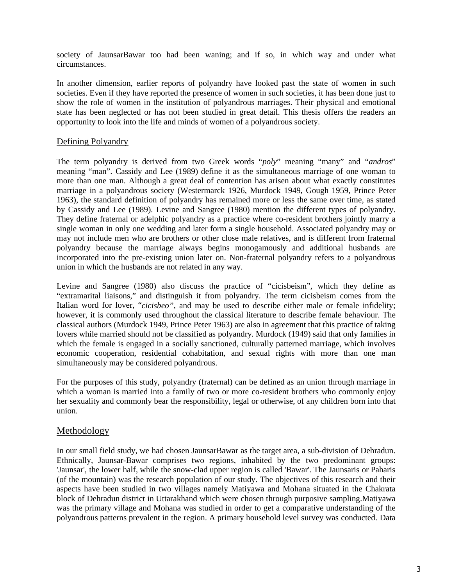society of JaunsarBawar too had been waning; and if so, in which way and under what circumstances.

In another dimension, earlier reports of polyandry have looked past the state of women in such societies. Even if they have reported the presence of women in such societies, it has been done just to show the role of women in the institution of polyandrous marriages. Their physical and emotional state has been neglected or has not been studied in great detail. This thesis offers the readers an opportunity to look into the life and minds of women of a polyandrous society.

#### Defining Polyandry

The term polyandry is derived from two Greek words "*poly*" meaning "many" and "*andros*" meaning "man". Cassidy and Lee (1989) define it as the simultaneous marriage of one woman to more than one man. Although a great deal of contention has arisen about what exactly constitutes marriage in a polyandrous society (Westermarck 1926, Murdock 1949, Gough 1959, Prince Peter 1963), the standard definition of polyandry has remained more or less the same over time, as stated by Cassidy and Lee (1989). Levine and Sangree (1980) mention the different types of polyandry. They define fraternal or adelphic polyandry as a practice where co-resident brothers jointly marry a single woman in only one wedding and later form a single household. Associated polyandry may or may not include men who are brothers or other close male relatives, and is different from fraternal polyandry because the marriage always begins monogamously and additional husbands are incorporated into the pre-existing union later on. Non-fraternal polyandry refers to a polyandrous union in which the husbands are not related in any way.

Levine and Sangree (1980) also discuss the practice of "cicisbeism", which they define as "extramarital liaisons," and distinguish it from polyandry. The term cicisbeism comes from the Italian word for lover, "*cicisbeo"*, and may be used to describe either male or female infidelity; however, it is commonly used throughout the classical literature to describe female behaviour. The classical authors (Murdock 1949, Prince Peter 1963) are also in agreement that this practice of taking lovers while married should not be classified as polyandry. Murdock (1949) said that only families in which the female is engaged in a socially sanctioned, culturally patterned marriage, which involves economic cooperation, residential cohabitation, and sexual rights with more than one man simultaneously may be considered polyandrous.

For the purposes of this study, polyandry (fraternal) can be defined as an union through marriage in which a woman is married into a family of two or more co-resident brothers who commonly enjoy her sexuality and commonly bear the responsibility, legal or otherwise, of any children born into that union.

#### Methodology

In our small field study, we had chosen JaunsarBawar as the target area, a sub-division of Dehradun. Ethnically, Jaunsar-Bawar comprises two regions, inhabited by the two predominant groups: 'Jaunsar', the lower half, while the snow-clad upper region is called 'Bawar'. The Jaunsaris or Paharis (of the mountain) was the research population of our study. The objectives of this research and their aspects have been studied in two villages namely Matiyawa and Mohana situated in the Chakrata block of Dehradun district in Uttarakhand which were chosen through purposive sampling.Matiyawa was the primary village and Mohana was studied in order to get a comparative understanding of the polyandrous patterns prevalent in the region. A primary household level survey was conducted. Data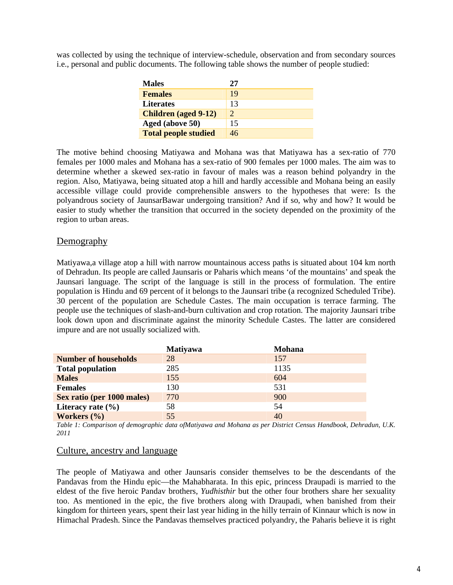was collected by using the technique of interview-schedule, observation and from secondary sources i.e., personal and public documents. The following table shows the number of people studied:

| <b>Males</b>                | 27 |
|-----------------------------|----|
| <b>Females</b>              | 19 |
| <b>Literates</b>            | 13 |
| <b>Children</b> (aged 9-12) | 2  |
| Aged (above 50)             | 15 |
| <b>Total people studied</b> | 46 |

The motive behind choosing Matiyawa and Mohana was that Matiyawa has a sex-ratio of 770 females per 1000 males and Mohana has a sex-ratio of 900 females per 1000 males. The aim was to determine whether a skewed sex-ratio in favour of males was a reason behind polyandry in the region. Also, Matiyawa, being situated atop a hill and hardly accessible and Mohana being an easily accessible village could provide comprehensible answers to the hypotheses that were: Is the polyandrous society of JaunsarBawar undergoing transition? And if so, why and how? It would be easier to study whether the transition that occurred in the society depended on the proximity of the region to urban areas.

#### Demography

Matiyawa,a village atop a hill with narrow mountainous access paths is situated about 104 km north of Dehradun. Its people are called Jaunsaris or Paharis which means 'of the mountains' and speak the Jaunsari language. The script of the language is still in the process of formulation. The entire population is Hindu and 69 percent of it belongs to the Jaunsari tribe (a recognized Scheduled Tribe). 30 percent of the population are Schedule Castes. The main occupation is terrace farming. The people use the techniques of slash-and-burn cultivation and crop rotation. The majority Jaunsari tribe look down upon and discriminate against the minority Schedule Castes. The latter are considered impure and are not usually socialized with.

|                             | <b>Matiyawa</b> | <b>Mohana</b> |
|-----------------------------|-----------------|---------------|
| <b>Number of households</b> | 28              | 157           |
| <b>Total population</b>     | 285             | 1135          |
| <b>Males</b>                | 155             | 604           |
| <b>Females</b>              | 130             | 531           |
| Sex ratio (per 1000 males)  | 770             | 900           |
| Literacy rate $(\% )$       | 58              | 54            |
| Workers (%)                 | 55              | 40            |

*Table 1: Comparison of demographic data ofMatiyawa and Mohana as per District Census Handbook, Dehradun, U.K. 2011*

#### Culture, ancestry and language

The people of Matiyawa and other Jaunsaris consider themselves to be the descendants of the Pandavas from the Hindu epic—the Mahabharata. In this epic, princess Draupadi is married to the eldest of the five heroic Pandav brothers, *Yudhisthir* but the other four brothers share her sexuality too. As mentioned in the epic, the five brothers along with Draupadi, when banished from their kingdom for thirteen years, spent their last year hiding in the hilly terrain of Kinnaur which is now in Himachal Pradesh. Since the Pandavas themselves practiced polyandry, the Paharis believe it is right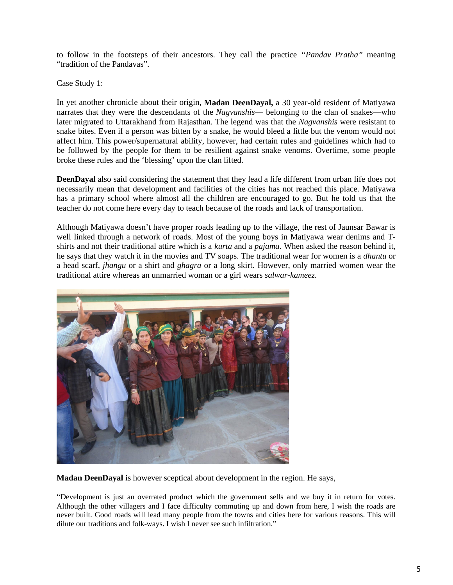to follow in the footsteps of their ancestors. They call the practice *"Pandav Pratha"* meaning "tradition of the Pandavas".

Case Study 1:

In yet another chronicle about their origin, **Madan DeenDayal,** a 30 year-old resident of Matiyawa narrates that they were the descendants of the *Nagvanshis*— belonging to the clan of snakes—who later migrated to Uttarakhand from Rajasthan. The legend was that the *Nagvanshis* were resistant to snake bites. Even if a person was bitten by a snake, he would bleed a little but the venom would not affect him. This power/supernatural ability, however, had certain rules and guidelines which had to be followed by the people for them to be resilient against snake venoms. Overtime, some people broke these rules and the 'blessing' upon the clan lifted.

**DeenDayal** also said considering the statement that they lead a life different from urban life does not necessarily mean that development and facilities of the cities has not reached this place. Matiyawa has a primary school where almost all the children are encouraged to go. But he told us that the teacher do not come here every day to teach because of the roads and lack of transportation.

Although Matiyawa doesn't have proper roads leading up to the village, the rest of Jaunsar Bawar is well linked through a network of roads. Most of the young boys in Matiyawa wear denims and Tshirts and not their traditional attire which is a *kurta* and a *pajama*. When asked the reason behind it, he says that they watch it in the movies and TV soaps. The traditional wear for women is a *dhantu* or a head scarf, *jhangu* or a shirt and *ghagra* or a long skirt. However, only married women wear the traditional attire whereas an unmarried woman or a girl wears *salwar-kameez*.



**Madan DeenDayal** is however sceptical about development in the region. He says,

"Development is just an overrated product which the government sells and we buy it in return for votes. Although the other villagers and I face difficulty commuting up and down from here, I wish the roads are never built. Good roads will lead many people from the towns and cities here for various reasons. This will dilute our traditions and folk-ways. I wish I never see such infiltration."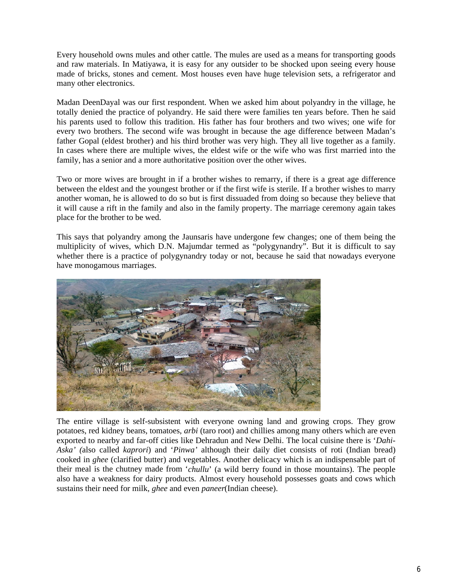Every household owns mules and other cattle. The mules are used as a means for transporting goods and raw materials. In Matiyawa, it is easy for any outsider to be shocked upon seeing every house made of bricks, stones and cement. Most houses even have huge television sets, a refrigerator and many other electronics.

Madan DeenDayal was our first respondent. When we asked him about polyandry in the village, he totally denied the practice of polyandry. He said there were families ten years before. Then he said his parents used to follow this tradition. His father has four brothers and two wives; one wife for every two brothers. The second wife was brought in because the age difference between Madan's father Gopal (eldest brother) and his third brother was very high. They all live together as a family. In cases where there are multiple wives, the eldest wife or the wife who was first married into the family, has a senior and a more authoritative position over the other wives.

Two or more wives are brought in if a brother wishes to remarry, if there is a great age difference between the eldest and the youngest brother or if the first wife is sterile. If a brother wishes to marry another woman, he is allowed to do so but is first dissuaded from doing so because they believe that it will cause a rift in the family and also in the family property. The marriage ceremony again takes place for the brother to be wed.

This says that polyandry among the Jaunsaris have undergone few changes; one of them being the multiplicity of wives, which D.N. Majumdar termed as "polygynandry". But it is difficult to say whether there is a practice of polygynandry today or not, because he said that nowadays everyone have monogamous marriages.



The entire village is self-subsistent with everyone owning land and growing crops. They grow potatoes, red kidney beans, tomatoes, *arbi* (taro root) and chillies among many others which are even exported to nearby and far-off cities like Dehradun and New Delhi. The local cuisine there is '*Dahi-Aska' (*also called *kaprori*) and '*Pinwa'* although their daily diet consists of roti (Indian bread) cooked in *ghee* (clarified butter) and vegetables. Another delicacy which is an indispensable part of their meal is the chutney made from '*chullu*' (a wild berry found in those mountains). The people also have a weakness for dairy products. Almost every household possesses goats and cows which sustains their need for milk, *ghee* and even *paneer*(Indian cheese).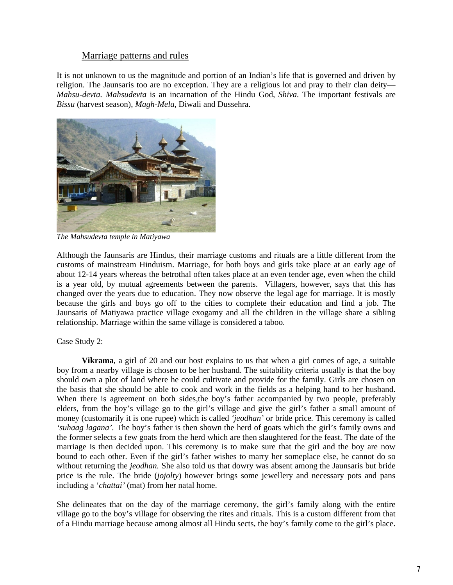## Marriage patterns and rules

It is not unknown to us the magnitude and portion of an Indian's life that is governed and driven by religion. The Jaunsaris too are no exception. They are a religious lot and pray to their clan deity— *Mahsu-devta. Mahsudevta* is an incarnation of the Hindu God, *Shiva*. The important festivals are *Bissu* (harvest season), *Magh-Mela*, Diwali and Dussehra.



*The Mahsudevta temple in Matiyawa*

Although the Jaunsaris are Hindus, their marriage customs and rituals are a little different from the customs of mainstream Hinduism. Marriage, for both boys and girls take place at an early age of about 12-14 years whereas the betrothal often takes place at an even tender age, even when the child is a year old, by mutual agreements between the parents. Villagers, however, says that this has changed over the years due to education. They now observe the legal age for marriage. It is mostly because the girls and boys go off to the cities to complete their education and find a job. The Jaunsaris of Matiyawa practice village exogamy and all the children in the village share a sibling relationship. Marriage within the same village is considered a taboo.

Case Study 2:

**Vikrama**, a girl of 20 and our host explains to us that when a girl comes of age, a suitable boy from a nearby village is chosen to be her husband. The suitability criteria usually is that the boy should own a plot of land where he could cultivate and provide for the family. Girls are chosen on the basis that she should be able to cook and work in the fields as a helping hand to her husband. When there is agreement on both sides, the boy's father accompanied by two people, preferably elders, from the boy's village go to the girl's village and give the girl's father a small amount of money (customarily it is one rupee) which is called *'jeodhan'* or bride price*.* This ceremony is called *'suhaag lagana'.* The boy's father is then shown the herd of goats which the girl's family owns and the former selects a few goats from the herd which are then slaughtered for the feast. The date of the marriage is then decided upon. This ceremony is to make sure that the girl and the boy are now bound to each other. Even if the girl's father wishes to marry her someplace else, he cannot do so without returning the *jeodhan.* She also told us that dowry was absent among the Jaunsaris but bride price is the rule. The bride (*jojolty*) however brings some jewellery and necessary pots and pans including a '*chattai'* (mat) from her natal home.

She delineates that on the day of the marriage ceremony, the girl's family along with the entire village go to the boy's village for observing the rites and rituals. This is a custom different from that of a Hindu marriage because among almost all Hindu sects, the boy's family come to the girl's place.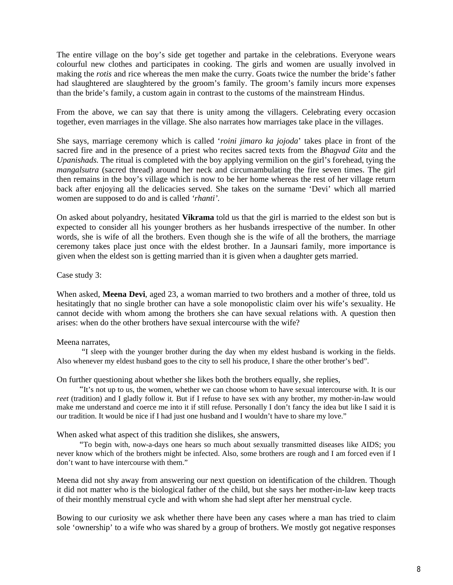The entire village on the boy's side get together and partake in the celebrations. Everyone wears colourful new clothes and participates in cooking. The girls and women are usually involved in making the *rotis* and rice whereas the men make the curry. Goats twice the number the bride's father had slaughtered are slaughtered by the groom's family. The groom's family incurs more expenses than the bride's family, a custom again in contrast to the customs of the mainstream Hindus.

From the above, we can say that there is unity among the villagers. Celebrating every occasion together, even marriages in the village. She also narrates how marriages take place in the villages.

She says, marriage ceremony which is called '*roini jimaro ka jojoda*' takes place in front of the sacred fire and in the presence of a priest who recites sacred texts from the *Bhagvad Gita* and the *Upanishads.* The ritual is completed with the boy applying vermilion on the girl's forehead, tying the *mangalsutra* (sacred thread) around her neck and circumambulating the fire seven times. The girl then remains in the boy's village which is now to be her home whereas the rest of her village return back after enjoying all the delicacies served. She takes on the surname 'Devi' which all married women are supposed to do and is called *'rhanti'*.

On asked about polyandry, hesitated **Vikrama** told us that the girl is married to the eldest son but is expected to consider all his younger brothers as her husbands irrespective of the number. In other words, she is wife of all the brothers. Even though she is the wife of all the brothers, the marriage ceremony takes place just once with the eldest brother. In a Jaunsari family, more importance is given when the eldest son is getting married than it is given when a daughter gets married.

Case study 3:

When asked, **Meena Devi**, aged 23, a woman married to two brothers and a mother of three, told us hesitatingly that no single brother can have a sole monopolistic claim over his wife's sexuality. He cannot decide with whom among the brothers she can have sexual relations with. A question then arises: when do the other brothers have sexual intercourse with the wife?

#### Meena narrates,

 "I sleep with the younger brother during the day when my eldest husband is working in the fields. Also whenever my eldest husband goes to the city to sell his produce, I share the other brother's bed".

On further questioning about whether she likes both the brothers equally, she replies,

 "It's not up to us, the women, whether we can choose whom to have sexual intercourse with. It is our *reet* (tradition) and I gladly follow it. But if I refuse to have sex with any brother, my mother-in-law would make me understand and coerce me into it if still refuse. Personally I don't fancy the idea but like I said it is our tradition. It would be nice if I had just one husband and I wouldn't have to share my love."

When asked what aspect of this tradition she dislikes, she answers,

 "To begin with, now-a-days one hears so much about sexually transmitted diseases like AIDS; you never know which of the brothers might be infected. Also, some brothers are rough and I am forced even if I don't want to have intercourse with them."

Meena did not shy away from answering our next question on identification of the children. Though it did not matter who is the biological father of the child, but she says her mother-in-law keep tracts of their monthly menstrual cycle and with whom she had slept after her menstrual cycle.

Bowing to our curiosity we ask whether there have been any cases where a man has tried to claim sole 'ownership' to a wife who was shared by a group of brothers. We mostly got negative responses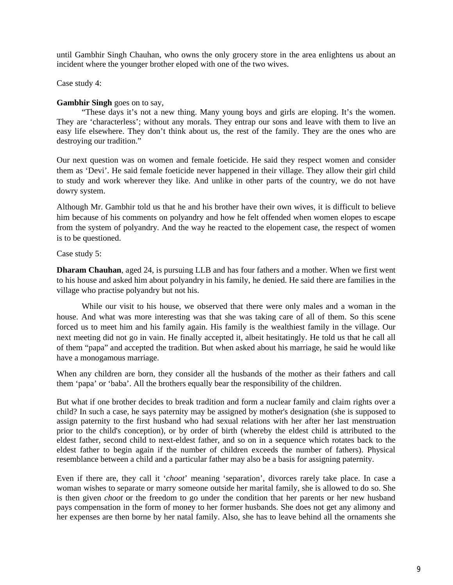until Gambhir Singh Chauhan, who owns the only grocery store in the area enlightens us about an incident where the younger brother eloped with one of the two wives.

Case study 4:

#### **Gambhir Singh** goes on to say,

 "These days it's not a new thing. Many young boys and girls are eloping. It's the women. They are 'characterless'; without any morals. They entrap our sons and leave with them to live an easy life elsewhere. They don't think about us, the rest of the family. They are the ones who are destroying our tradition."

Our next question was on women and female foeticide. He said they respect women and consider them as 'Devi'. He said female foeticide never happened in their village. They allow their girl child to study and work wherever they like. And unlike in other parts of the country, we do not have dowry system.

Although Mr. Gambhir told us that he and his brother have their own wives, it is difficult to believe him because of his comments on polyandry and how he felt offended when women elopes to escape from the system of polyandry. And the way he reacted to the elopement case, the respect of women is to be questioned.

Case study 5:

**Dharam Chauhan**, aged 24, is pursuing LLB and has four fathers and a mother. When we first went to his house and asked him about polyandry in his family, he denied. He said there are families in the village who practise polyandry but not his.

 While our visit to his house, we observed that there were only males and a woman in the house. And what was more interesting was that she was taking care of all of them. So this scene forced us to meet him and his family again. His family is the wealthiest family in the village. Our next meeting did not go in vain. He finally accepted it, albeit hesitatingly. He told us that he call all of them "papa" and accepted the tradition. But when asked about his marriage, he said he would like have a monogamous marriage.

When any children are born, they consider all the husbands of the mother as their fathers and call them 'papa' or 'baba'. All the brothers equally bear the responsibility of the children.

But what if one brother decides to break tradition and form a nuclear family and claim rights over a child? In such a case, he says paternity may be assigned by mother's designation (she is supposed to assign paternity to the first husband who had sexual relations with her after her last menstruation prior to the child's conception), or by order of birth (whereby the eldest child is attributed to the eldest father, second child to next-eldest father, and so on in a sequence which rotates back to the eldest father to begin again if the number of children exceeds the number of fathers). Physical resemblance between a child and a particular father may also be a basis for assigning paternity.

Even if there are, they call it '*choot*' meaning 'separation', divorces rarely take place. In case a woman wishes to separate or marry someone outside her marital family, she is allowed to do so. She is then given *choot* or the freedom to go under the condition that her parents or her new husband pays compensation in the form of money to her former husbands. She does not get any alimony and her expenses are then borne by her natal family. Also, she has to leave behind all the ornaments she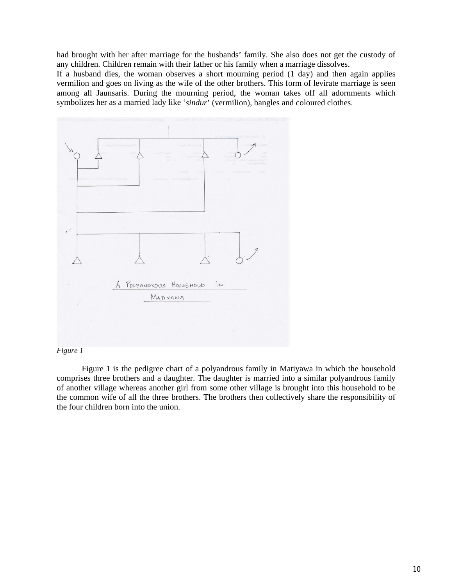had brought with her after marriage for the husbands' family. She also does not get the custody of any children. Children remain with their father or his family when a marriage dissolves.

If a husband dies, the woman observes a short mourning period (1 day) and then again applies vermilion and goes on living as the wife of the other brothers. This form of levirate marriage is seen among all Jaunsaris. During the mourning period, the woman takes off all adornments which symbolizes her as a married lady like '*sindur*' (vermilion), bangles and coloured clothes.



#### *Figure 1*

Figure 1 is the pedigree chart of a polyandrous family in Matiyawa in which the household comprises three brothers and a daughter. The daughter is married into a similar polyandrous family of another village whereas another girl from some other village is brought into this household to be the common wife of all the three brothers. The brothers then collectively share the responsibility of the four children born into the union.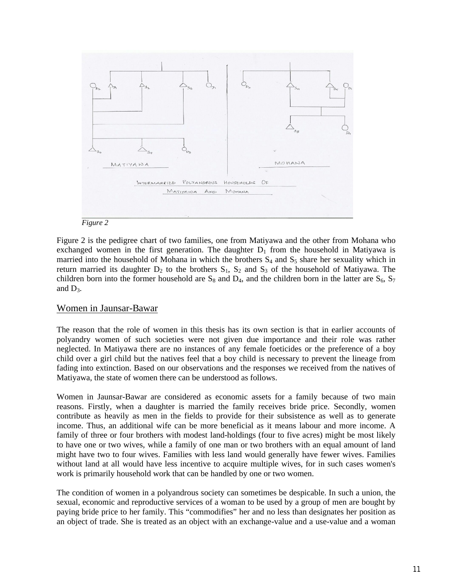



Figure 2 is the pedigree chart of two families, one from Matiyawa and the other from Mohana who exchanged women in the first generation. The daughter  $D_1$  from the household in Matiyawa is married into the household of Mohana in which the brothers  $S_4$  and  $S_5$  share her sexuality which in return married its daughter  $D_2$  to the brothers  $S_1$ ,  $S_2$  and  $S_3$  of the household of Matiyawa. The children born into the former household are  $S_8$  and  $D_4$ , and the children born in the latter are  $S_6$ ,  $S_7$ and  $D_3$ .

#### Women in Jaunsar-Bawar

The reason that the role of women in this thesis has its own section is that in earlier accounts of polyandry women of such societies were not given due importance and their role was rather neglected. In Matiyawa there are no instances of any female foeticides or the preference of a boy child over a girl child but the natives feel that a boy child is necessary to prevent the lineage from fading into extinction. Based on our observations and the responses we received from the natives of Matiyawa, the state of women there can be understood as follows.

Women in Jaunsar-Bawar are considered as economic assets for a family because of two main reasons. Firstly, when a daughter is married the family receives bride price. Secondly, women contribute as heavily as men in the fields to provide for their subsistence as well as to generate income. Thus, an additional wife can be more beneficial as it means labour and more income. A family of three or four brothers with modest land-holdings (four to five acres) might be most likely to have one or two wives, while a family of one man or two brothers with an equal amount of land might have two to four wives. Families with less land would generally have fewer wives. Families without land at all would have less incentive to acquire multiple wives, for in such cases women's work is primarily household work that can be handled by one or two women.

The condition of women in a polyandrous society can sometimes be despicable. In such a union, the sexual, economic and reproductive services of a woman to be used by a group of men are bought by paying bride price to her family. This "commodifies" her and no less than designates her position as an object of trade. She is treated as an object with an exchange-value and a use-value and a woman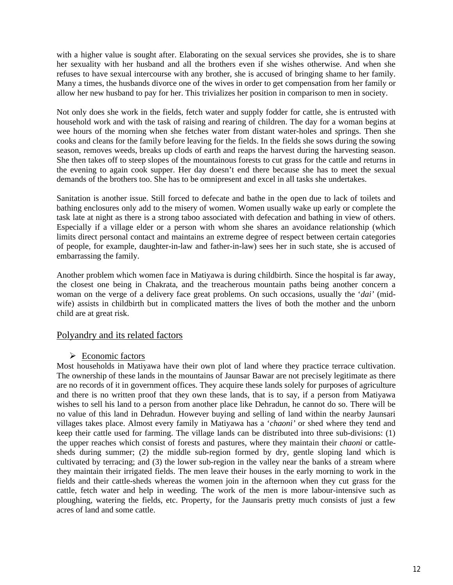with a higher value is sought after. Elaborating on the sexual services she provides, she is to share her sexuality with her husband and all the brothers even if she wishes otherwise. And when she refuses to have sexual intercourse with any brother, she is accused of bringing shame to her family. Many a times, the husbands divorce one of the wives in order to get compensation from her family or allow her new husband to pay for her. This trivializes her position in comparison to men in society.

Not only does she work in the fields, fetch water and supply fodder for cattle, she is entrusted with household work and with the task of raising and rearing of children. The day for a woman begins at wee hours of the morning when she fetches water from distant water-holes and springs. Then she cooks and cleans for the family before leaving for the fields. In the fields she sows during the sowing season, removes weeds, breaks up clods of earth and reaps the harvest during the harvesting season. She then takes off to steep slopes of the mountainous forests to cut grass for the cattle and returns in the evening to again cook supper. Her day doesn't end there because she has to meet the sexual demands of the brothers too. She has to be omnipresent and excel in all tasks she undertakes.

Sanitation is another issue. Still forced to defecate and bathe in the open due to lack of toilets and bathing enclosures only add to the misery of women. Women usually wake up early or complete the task late at night as there is a strong taboo associated with defecation and bathing in view of others. Especially if a village elder or a person with whom she shares an avoidance relationship (which limits direct personal contact and maintains an extreme degree of respect between certain categories of people, for example, daughter-in-law and father-in-law) sees her in such state, she is accused of embarrassing the family.

Another problem which women face in Matiyawa is during childbirth. Since the hospital is far away, the closest one being in Chakrata, and the treacherous mountain paths being another concern a woman on the verge of a delivery face great problems. On such occasions, usually the '*dai'* (midwife) assists in childbirth but in complicated matters the lives of both the mother and the unborn child are at great risk.

# Polyandry and its related factors

#### $\triangleright$  Economic factors

Most households in Matiyawa have their own plot of land where they practice terrace cultivation. The ownership of these lands in the mountains of Jaunsar Bawar are not precisely legitimate as there are no records of it in government offices. They acquire these lands solely for purposes of agriculture and there is no written proof that they own these lands, that is to say, if a person from Matiyawa wishes to sell his land to a person from another place like Dehradun, he cannot do so. There will be no value of this land in Dehradun. However buying and selling of land within the nearby Jaunsari villages takes place. Almost every family in Matiyawa has a '*chaoni'* or shed where they tend and keep their cattle used for farming. The village lands can be distributed into three sub-divisions: (1) the upper reaches which consist of forests and pastures, where they maintain their *chaoni* or cattlesheds during summer; (2) the middle sub-region formed by dry, gentle sloping land which is cultivated by terracing; and (3) the lower sub-region in the valley near the banks of a stream where they maintain their irrigated fields. The men leave their houses in the early morning to work in the fields and their cattle-sheds whereas the women join in the afternoon when they cut grass for the cattle, fetch water and help in weeding. The work of the men is more labour-intensive such as ploughing, watering the fields, etc. Property, for the Jaunsaris pretty much consists of just a few acres of land and some cattle.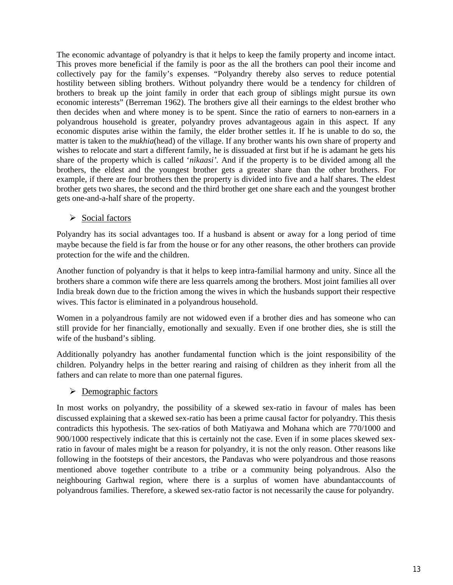The economic advantage of polyandry is that it helps to keep the family property and income intact. This proves more beneficial if the family is poor as the all the brothers can pool their income and collectively pay for the family's expenses. "Polyandry thereby also serves to reduce potential hostility between sibling brothers. Without polyandry there would be a tendency for children of brothers to break up the joint family in order that each group of siblings might pursue its own economic interests" (Berreman 1962). The brothers give all their earnings to the eldest brother who then decides when and where money is to be spent. Since the ratio of earners to non-earners in a polyandrous household is greater, polyandry proves advantageous again in this aspect. If any economic disputes arise within the family, the elder brother settles it. If he is unable to do so, the matter is taken to the *mukhia*(head) of the village. If any brother wants his own share of property and wishes to relocate and start a different family, he is dissuaded at first but if he is adamant he gets his share of the property which is called '*nikaasi'*. And if the property is to be divided among all the brothers, the eldest and the youngest brother gets a greater share than the other brothers. For example, if there are four brothers then the property is divided into five and a half shares. The eldest brother gets two shares, the second and the third brother get one share each and the youngest brother gets one-and-a-half share of the property.

# $\triangleright$  Social factors

Polyandry has its social advantages too. If a husband is absent or away for a long period of time maybe because the field is far from the house or for any other reasons, the other brothers can provide protection for the wife and the children.

Another function of polyandry is that it helps to keep intra-familial harmony and unity. Since all the brothers share a common wife there are less quarrels among the brothers. Most joint families all over India break down due to the friction among the wives in which the husbands support their respective wives. This factor is eliminated in a polyandrous household.

Women in a polyandrous family are not widowed even if a brother dies and has someone who can still provide for her financially, emotionally and sexually. Even if one brother dies, she is still the wife of the husband's sibling.

Additionally polyandry has another fundamental function which is the joint responsibility of the children. Polyandry helps in the better rearing and raising of children as they inherit from all the fathers and can relate to more than one paternal figures.

# $\triangleright$  Demographic factors

In most works on polyandry, the possibility of a skewed sex-ratio in favour of males has been discussed explaining that a skewed sex-ratio has been a prime causal factor for polyandry. This thesis contradicts this hypothesis. The sex-ratios of both Matiyawa and Mohana which are 770/1000 and 900/1000 respectively indicate that this is certainly not the case. Even if in some places skewed sexratio in favour of males might be a reason for polyandry, it is not the only reason. Other reasons like following in the footsteps of their ancestors, the Pandavas who were polyandrous and those reasons mentioned above together contribute to a tribe or a community being polyandrous. Also the neighbouring Garhwal region, where there is a surplus of women have abundantaccounts of polyandrous families. Therefore, a skewed sex-ratio factor is not necessarily the cause for polyandry.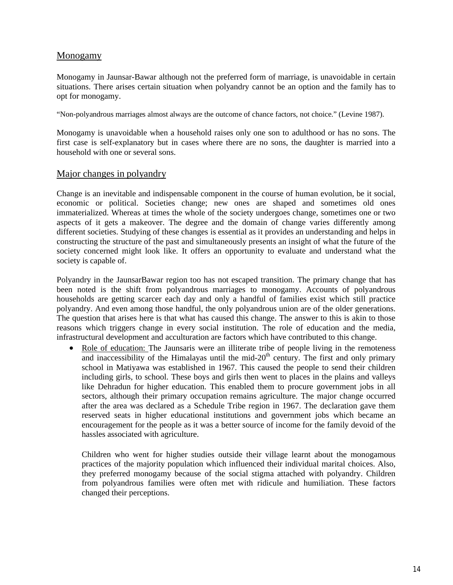# Monogamy

Monogamy in Jaunsar-Bawar although not the preferred form of marriage, is unavoidable in certain situations. There arises certain situation when polyandry cannot be an option and the family has to opt for monogamy.

"Non-polyandrous marriages almost always are the outcome of chance factors, not choice." (Levine 1987).

Monogamy is unavoidable when a household raises only one son to adulthood or has no sons. The first case is self-explanatory but in cases where there are no sons, the daughter is married into a household with one or several sons.

#### Major changes in polyandry

Change is an inevitable and indispensable component in the course of human evolution, be it social, economic or political. Societies change; new ones are shaped and sometimes old ones immaterialized. Whereas at times the whole of the society undergoes change, sometimes one or two aspects of it gets a makeover. The degree and the domain of change varies differently among different societies. Studying of these changes is essential as it provides an understanding and helps in constructing the structure of the past and simultaneously presents an insight of what the future of the society concerned might look like. It offers an opportunity to evaluate and understand what the society is capable of.

Polyandry in the JaunsarBawar region too has not escaped transition. The primary change that has been noted is the shift from polyandrous marriages to monogamy. Accounts of polyandrous households are getting scarcer each day and only a handful of families exist which still practice polyandry. And even among those handful, the only polyandrous union are of the older generations. The question that arises here is that what has caused this change. The answer to this is akin to those reasons which triggers change in every social institution. The role of education and the media, infrastructural development and acculturation are factors which have contributed to this change.

• Role of education: The Jaunsaris were an illiterate tribe of people living in the remoteness and inaccessibility of the Himalayas until the mid- $20<sup>th</sup>$  century. The first and only primary school in Matiyawa was established in 1967. This caused the people to send their children including girls, to school. These boys and girls then went to places in the plains and valleys like Dehradun for higher education. This enabled them to procure government jobs in all sectors, although their primary occupation remains agriculture. The major change occurred after the area was declared as a Schedule Tribe region in 1967. The declaration gave them reserved seats in higher educational institutions and government jobs which became an encouragement for the people as it was a better source of income for the family devoid of the hassles associated with agriculture.

Children who went for higher studies outside their village learnt about the monogamous practices of the majority population which influenced their individual marital choices. Also, they preferred monogamy because of the social stigma attached with polyandry. Children from polyandrous families were often met with ridicule and humiliation. These factors changed their perceptions.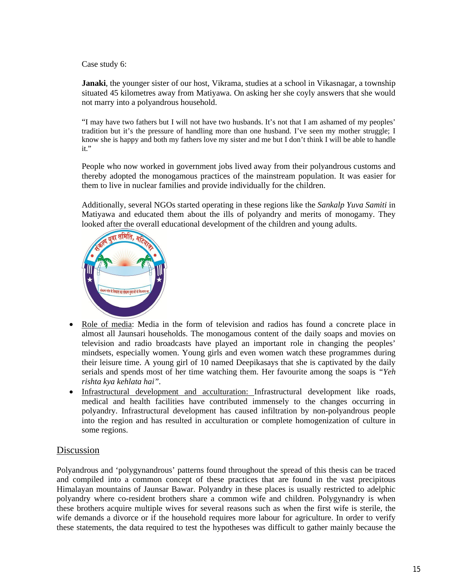Case study 6:

**Janaki**, the younger sister of our host, Vikrama, studies at a school in Vikasnagar, a township situated 45 kilometres away from Matiyawa. On asking her she coyly answers that she would not marry into a polyandrous household.

"I may have two fathers but I will not have two husbands. It's not that I am ashamed of my peoples' tradition but it's the pressure of handling more than one husband. I've seen my mother struggle; I know she is happy and both my fathers love my sister and me but I don't think I will be able to handle it."

People who now worked in government jobs lived away from their polyandrous customs and thereby adopted the monogamous practices of the mainstream population. It was easier for them to live in nuclear families and provide individually for the children.

Additionally, several NGOs started operating in these regions like the *Sankalp Yuva Samiti* in Matiyawa and educated them about the ills of polyandry and merits of monogamy. They looked after the overall educational development of the children and young adults.



- Role of media: Media in the form of television and radios has found a concrete place in almost all Jaunsari households. The monogamous content of the daily soaps and movies on television and radio broadcasts have played an important role in changing the peoples' mindsets, especially women. Young girls and even women watch these programmes during their leisure time. A young girl of 10 named Deepikasays that she is captivated by the daily serials and spends most of her time watching them. Her favourite among the soaps is *"Yeh rishta kya kehlata hai".*
- Infrastructural development and acculturation: Infrastructural development like roads, medical and health facilities have contributed immensely to the changes occurring in polyandry. Infrastructural development has caused infiltration by non-polyandrous people into the region and has resulted in acculturation or complete homogenization of culture in some regions.

# Discussion

Polyandrous and 'polygynandrous' patterns found throughout the spread of this thesis can be traced and compiled into a common concept of these practices that are found in the vast precipitous Himalayan mountains of Jaunsar Bawar. Polyandry in these places is usually restricted to adelphic polyandry where co-resident brothers share a common wife and children. Polygynandry is when these brothers acquire multiple wives for several reasons such as when the first wife is sterile, the wife demands a divorce or if the household requires more labour for agriculture. In order to verify these statements, the data required to test the hypotheses was difficult to gather mainly because the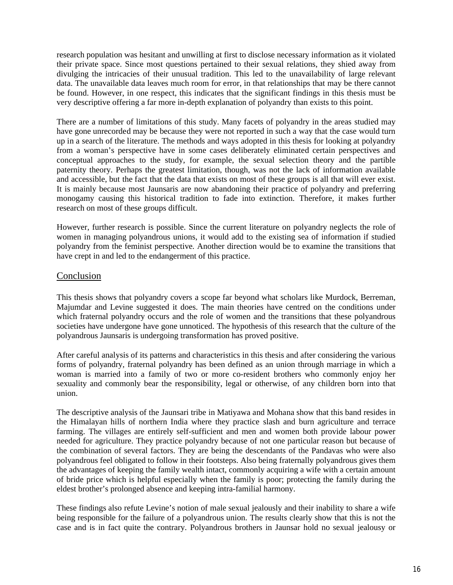research population was hesitant and unwilling at first to disclose necessary information as it violated their private space. Since most questions pertained to their sexual relations, they shied away from divulging the intricacies of their unusual tradition. This led to the unavailability of large relevant data. The unavailable data leaves much room for error, in that relationships that may be there cannot be found. However, in one respect, this indicates that the significant findings in this thesis must be very descriptive offering a far more in-depth explanation of polyandry than exists to this point.

There are a number of limitations of this study. Many facets of polyandry in the areas studied may have gone unrecorded may be because they were not reported in such a way that the case would turn up in a search of the literature. The methods and ways adopted in this thesis for looking at polyandry from a woman's perspective have in some cases deliberately eliminated certain perspectives and conceptual approaches to the study, for example, the sexual selection theory and the partible paternity theory. Perhaps the greatest limitation, though, was not the lack of information available and accessible, but the fact that the data that exists on most of these groups is all that will ever exist. It is mainly because most Jaunsaris are now abandoning their practice of polyandry and preferring monogamy causing this historical tradition to fade into extinction. Therefore, it makes further research on most of these groups difficult.

However, further research is possible. Since the current literature on polyandry neglects the role of women in managing polyandrous unions, it would add to the existing sea of information if studied polyandry from the feminist perspective. Another direction would be to examine the transitions that have crept in and led to the endangerment of this practice.

## **Conclusion**

This thesis shows that polyandry covers a scope far beyond what scholars like Murdock, Berreman, Majumdar and Levine suggested it does. The main theories have centred on the conditions under which fraternal polyandry occurs and the role of women and the transitions that these polyandrous societies have undergone have gone unnoticed. The hypothesis of this research that the culture of the polyandrous Jaunsaris is undergoing transformation has proved positive.

After careful analysis of its patterns and characteristics in this thesis and after considering the various forms of polyandry, fraternal polyandry has been defined as an union through marriage in which a woman is married into a family of two or more co-resident brothers who commonly enjoy her sexuality and commonly bear the responsibility, legal or otherwise, of any children born into that union.

The descriptive analysis of the Jaunsari tribe in Matiyawa and Mohana show that this band resides in the Himalayan hills of northern India where they practice slash and burn agriculture and terrace farming. The villages are entirely self-sufficient and men and women both provide labour power needed for agriculture. They practice polyandry because of not one particular reason but because of the combination of several factors. They are being the descendants of the Pandavas who were also polyandrous feel obligated to follow in their footsteps. Also being fraternally polyandrous gives them the advantages of keeping the family wealth intact, commonly acquiring a wife with a certain amount of bride price which is helpful especially when the family is poor; protecting the family during the eldest brother's prolonged absence and keeping intra-familial harmony.

These findings also refute Levine's notion of male sexual jealously and their inability to share a wife being responsible for the failure of a polyandrous union. The results clearly show that this is not the case and is in fact quite the contrary. Polyandrous brothers in Jaunsar hold no sexual jealousy or